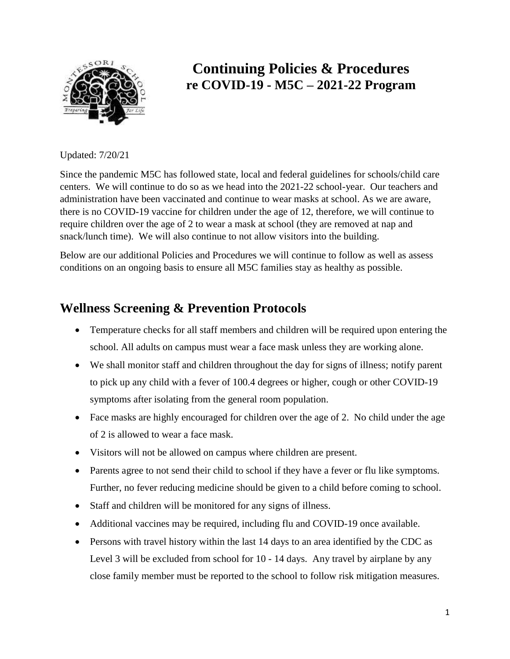

# **Continuing Policies & Procedures re COVID-19 - M5C – 2021-22 Program**

Updated: 7/20/21

Since the pandemic M5C has followed state, local and federal guidelines for schools/child care centers. We will continue to do so as we head into the 2021-22 school-year. Our teachers and administration have been vaccinated and continue to wear masks at school. As we are aware, there is no COVID-19 vaccine for children under the age of 12, therefore, we will continue to require children over the age of 2 to wear a mask at school (they are removed at nap and snack/lunch time). We will also continue to not allow visitors into the building.

Below are our additional Policies and Procedures we will continue to follow as well as assess conditions on an ongoing basis to ensure all M5C families stay as healthy as possible.

## **Wellness Screening & Prevention Protocols**

- Temperature checks for all staff members and children will be required upon entering the school. All adults on campus must wear a face mask unless they are working alone.
- We shall monitor staff and children throughout the day for signs of illness; notify parent to pick up any child with a fever of 100.4 degrees or higher, cough or other COVID-19 symptoms after isolating from the general room population.
- Face masks are highly encouraged for children over the age of 2. No child under the age of 2 is allowed to wear a face mask.
- Visitors will not be allowed on campus where children are present.
- Parents agree to not send their child to school if they have a fever or flu like symptoms. Further, no fever reducing medicine should be given to a child before coming to school.
- Staff and children will be monitored for any signs of illness.
- Additional vaccines may be required, including flu and COVID-19 once available.
- Persons with travel history within the last 14 days to an area identified by the CDC as Level 3 will be excluded from school for 10 - 14 days. Any travel by airplane by any close family member must be reported to the school to follow risk mitigation measures.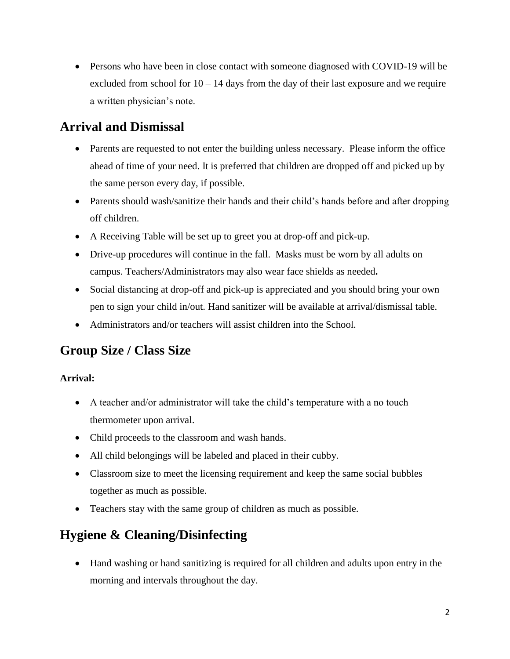• Persons who have been in close contact with someone diagnosed with COVID-19 will be excluded from school for  $10 - 14$  days from the day of their last exposure and we require a written physician's note.

# **Arrival and Dismissal**

- Parents are requested to not enter the building unless necessary. Please inform the office ahead of time of your need. It is preferred that children are dropped off and picked up by the same person every day, if possible.
- Parents should wash/sanitize their hands and their child's hands before and after dropping off children.
- A Receiving Table will be set up to greet you at drop-off and pick-up.
- Drive-up procedures will continue in the fall. Masks must be worn by all adults on campus. Teachers/Administrators may also wear face shields as needed**.**
- Social distancing at drop-off and pick-up is appreciated and you should bring your own pen to sign your child in/out. Hand sanitizer will be available at arrival/dismissal table.
- Administrators and/or teachers will assist children into the School.

## **Group Size / Class Size**

### **Arrival:**

- A teacher and/or administrator will take the child's temperature with a no touch thermometer upon arrival.
- Child proceeds to the classroom and wash hands.
- All child belongings will be labeled and placed in their cubby.
- Classroom size to meet the licensing requirement and keep the same social bubbles together as much as possible.
- Teachers stay with the same group of children as much as possible.

# **Hygiene & Cleaning/Disinfecting**

 Hand washing or hand sanitizing is required for all children and adults upon entry in the morning and intervals throughout the day.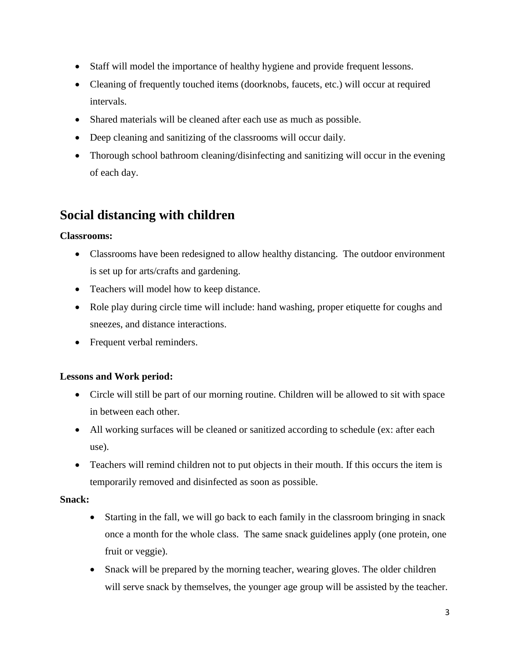- Staff will model the importance of healthy hygiene and provide frequent lessons.
- Cleaning of frequently touched items (doorknobs, faucets, etc.) will occur at required intervals.
- Shared materials will be cleaned after each use as much as possible.
- Deep cleaning and sanitizing of the classrooms will occur daily.
- Thorough school bathroom cleaning/disinfecting and sanitizing will occur in the evening of each day.

# **Social distancing with children**

#### **Classrooms:**

- Classrooms have been redesigned to allow healthy distancing. The outdoor environment is set up for arts/crafts and gardening.
- Teachers will model how to keep distance.
- Role play during circle time will include: hand washing, proper etiquette for coughs and sneezes, and distance interactions.
- Frequent verbal reminders.

#### **Lessons and Work period:**

- Circle will still be part of our morning routine. Children will be allowed to sit with space in between each other.
- All working surfaces will be cleaned or sanitized according to schedule (ex: after each use).
- Teachers will remind children not to put objects in their mouth. If this occurs the item is temporarily removed and disinfected as soon as possible.

#### **Snack:**

- Starting in the fall, we will go back to each family in the classroom bringing in snack once a month for the whole class. The same snack guidelines apply (one protein, one fruit or veggie).
- Snack will be prepared by the morning teacher, wearing gloves. The older children will serve snack by themselves, the younger age group will be assisted by the teacher.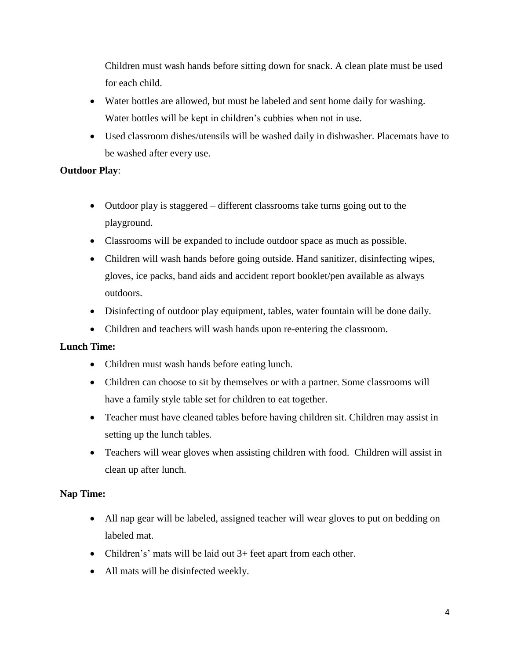Children must wash hands before sitting down for snack. A clean plate must be used for each child.

- Water bottles are allowed, but must be labeled and sent home daily for washing. Water bottles will be kept in children's cubbies when not in use.
- Used classroom dishes/utensils will be washed daily in dishwasher. Placemats have to be washed after every use.

#### **Outdoor Play**:

- Outdoor play is staggered different classrooms take turns going out to the playground.
- Classrooms will be expanded to include outdoor space as much as possible.
- Children will wash hands before going outside. Hand sanitizer, disinfecting wipes, gloves, ice packs, band aids and accident report booklet/pen available as always outdoors.
- Disinfecting of outdoor play equipment, tables, water fountain will be done daily.
- Children and teachers will wash hands upon re-entering the classroom.

#### **Lunch Time:**

- Children must wash hands before eating lunch.
- Children can choose to sit by themselves or with a partner. Some classrooms will have a family style table set for children to eat together.
- Teacher must have cleaned tables before having children sit. Children may assist in setting up the lunch tables.
- Teachers will wear gloves when assisting children with food. Children will assist in clean up after lunch.

#### **Nap Time:**

- All nap gear will be labeled, assigned teacher will wear gloves to put on bedding on labeled mat.
- Children's' mats will be laid out 3+ feet apart from each other.
- All mats will be disinfected weekly.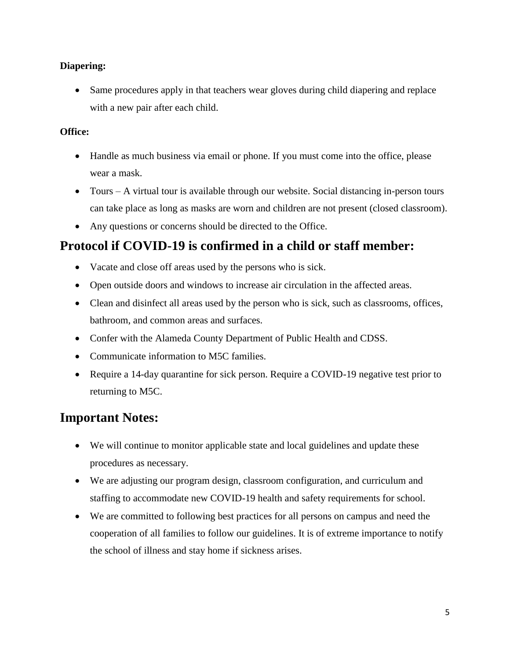#### **Diapering:**

• Same procedures apply in that teachers wear gloves during child diapering and replace with a new pair after each child.

#### **Office:**

- Handle as much business via email or phone. If you must come into the office, please wear a mask.
- Tours A virtual tour is available through our website. Social distancing in-person tours can take place as long as masks are worn and children are not present (closed classroom).
- Any questions or concerns should be directed to the Office.

## **Protocol if COVID-19 is confirmed in a child or staff member:**

- Vacate and close off areas used by the persons who is sick.
- Open outside doors and windows to increase air circulation in the affected areas.
- Clean and disinfect all areas used by the person who is sick, such as classrooms, offices, bathroom, and common areas and surfaces.
- Confer with the Alameda County Department of Public Health and CDSS.
- Communicate information to M5C families.
- Require a 14-day quarantine for sick person. Require a COVID-19 negative test prior to returning to M5C.

## **Important Notes:**

- We will continue to monitor applicable state and local guidelines and update these procedures as necessary.
- We are adjusting our program design, classroom configuration, and curriculum and staffing to accommodate new COVID-19 health and safety requirements for school.
- We are committed to following best practices for all persons on campus and need the cooperation of all families to follow our guidelines. It is of extreme importance to notify the school of illness and stay home if sickness arises.